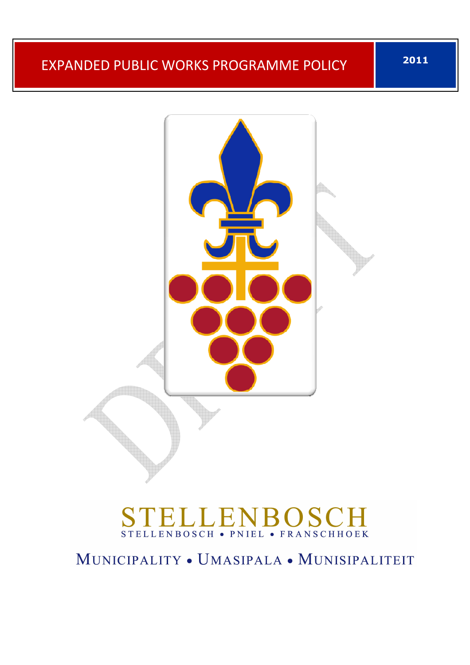

# STELLENBOSCH . PNIEL . FRANSCHHOEK

MUNICIPALITY . UMASIPALA . MUNISIPALITEIT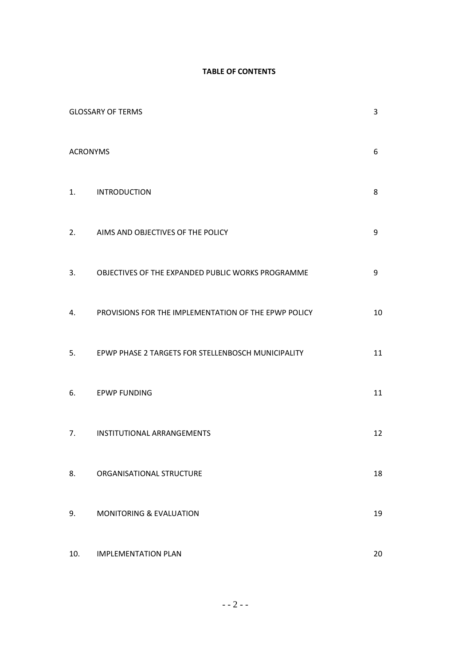# **TABLE OF CONTENTS**

|                 | <b>GLOSSARY OF TERMS</b>                             | 3  |
|-----------------|------------------------------------------------------|----|
| <b>ACRONYMS</b> |                                                      | 6  |
| 1.              | <b>INTRODUCTION</b>                                  | 8  |
| 2.              | AIMS AND OBJECTIVES OF THE POLICY                    | 9  |
| 3.              | OBJECTIVES OF THE EXPANDED PUBLIC WORKS PROGRAMME    | 9  |
| 4.              | PROVISIONS FOR THE IMPLEMENTATION OF THE EPWP POLICY | 10 |
| 5.              | EPWP PHASE 2 TARGETS FOR STELLENBOSCH MUNICIPALITY   | 11 |
| 6.              | <b>EPWP FUNDING</b>                                  | 11 |
| 7.              | <b>INSTITUTIONAL ARRANGEMENTS</b>                    | 12 |
| 8.              | ORGANISATIONAL STRUCTURE                             | 18 |
| 9.              | <b>MONITORING &amp; EVALUATION</b>                   | 19 |
| 10.             | <b>IMPLEMENTATION PLAN</b>                           | 20 |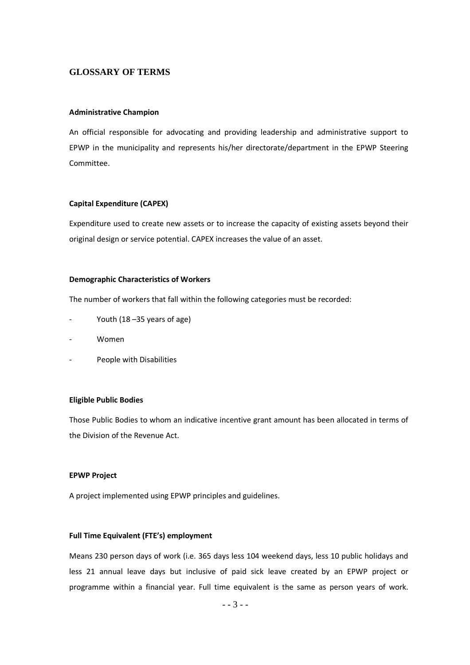# **GLOSSARY OF TERMS**

## **Administrative Champion**

An official responsible for advocating and providing leadership and administrative support to EPWP in the municipality and represents his/her directorate/department in the EPWP Steering Committee.

## **Capital Expenditure (CAPEX)**

Expenditure used to create new assets or to increase the capacity of existing assets beyond their original design or service potential. CAPEX increases the value of an asset.

#### **Demographic Characteristics of Workers**

The number of workers that fall within the following categories must be recorded:

- Youth (18 35 years of age)
- Women
- People with Disabilities

#### **Eligible Public Bodies**

Those Public Bodies to whom an indicative incentive grant amount has been allocated in terms of the Division of the Revenue Act.

#### **EPWP Project**

A project implemented using EPWP principles and guidelines.

#### **Full Time Equivalent (FTE's) employment**

Means 230 person days of work (i.e. 365 days less 104 weekend days, less 10 public holidays and less 21 annual leave days but inclusive of paid sick leave created by an EPWP project or programme within a financial year. Full time equivalent is the same as person years of work.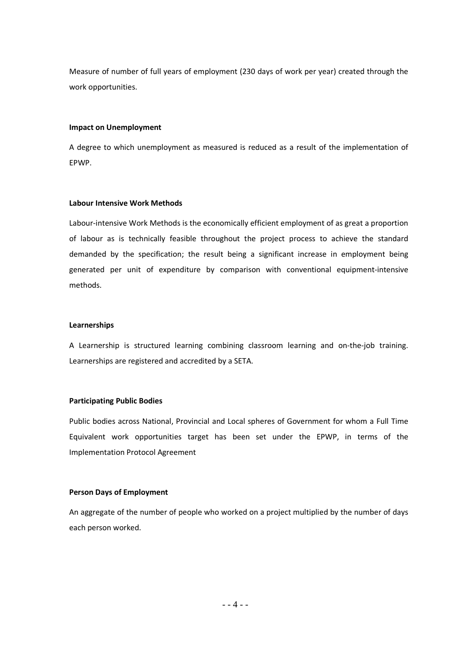Measure of number of full years of employment (230 days of work per year) created through the work opportunities.

## **Impact on Unemployment**

A degree to which unemployment as measured is reduced as a result of the implementation of EPWP.

## **Labour Intensive Work Methods**

Labour-intensive Work Methods is the economically efficient employment of as great a proportion of labour as is technically feasible throughout the project process to achieve the standard demanded by the specification; the result being a significant increase in employment being generated per unit of expenditure by comparison with conventional equipment-intensive methods.

## **Learnerships**

A Learnership is structured learning combining classroom learning and on-the-job training. Learnerships are registered and accredited by a SETA.

## **Participating Public Bodies**

Public bodies across National, Provincial and Local spheres of Government for whom a Full Time Equivalent work opportunities target has been set under the EPWP, in terms of the Implementation Protocol Agreement

## **Person Days of Employment**

An aggregate of the number of people who worked on a project multiplied by the number of days each person worked.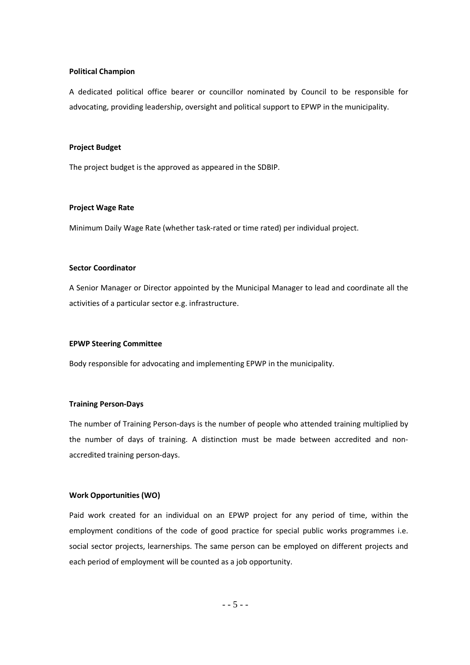#### **Political Champion**

A dedicated political office bearer or councillor nominated by Council to be responsible for advocating, providing leadership, oversight and political support to EPWP in the municipality.

## **Project Budget**

The project budget is the approved as appeared in the SDBIP.

## **Project Wage Rate**

Minimum Daily Wage Rate (whether task-rated or time rated) per individual project.

#### **Sector Coordinator**

A Senior Manager or Director appointed by the Municipal Manager to lead and coordinate all the activities of a particular sector e.g. infrastructure.

#### **EPWP Steering Committee**

Body responsible for advocating and implementing EPWP in the municipality.

## **Training Person-Days**

The number of Training Person-days is the number of people who attended training multiplied by the number of days of training. A distinction must be made between accredited and nonaccredited training person-days.

## **Work Opportunities (WO)**

Paid work created for an individual on an EPWP project for any period of time, within the employment conditions of the code of good practice for special public works programmes i.e. social sector projects, learnerships. The same person can be employed on different projects and each period of employment will be counted as a job opportunity.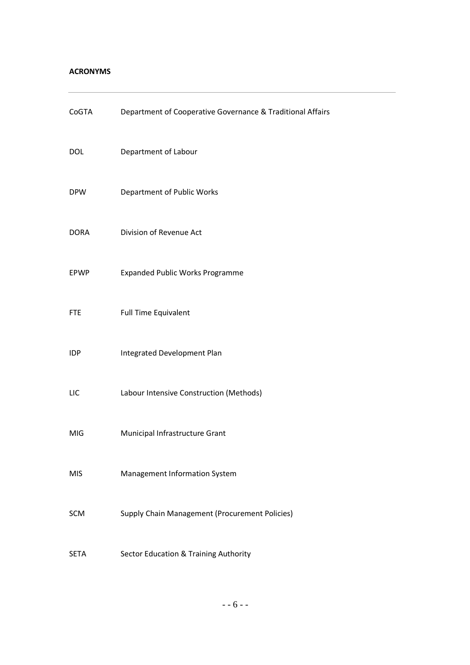## **ACRONYMS**

| CoGTA       | Department of Cooperative Governance & Traditional Affairs |
|-------------|------------------------------------------------------------|
| <b>DOL</b>  | Department of Labour                                       |
| <b>DPW</b>  | <b>Department of Public Works</b>                          |
| <b>DORA</b> | Division of Revenue Act                                    |
| EPWP        | Expanded Public Works Programme                            |
| <b>FTE</b>  | Full Time Equivalent                                       |
| <b>IDP</b>  | Integrated Development Plan                                |
| LIC         | Labour Intensive Construction (Methods)                    |
| <b>MIG</b>  | Municipal Infrastructure Grant                             |
| <b>MIS</b>  | Management Information System                              |
| <b>SCM</b>  | Supply Chain Management (Procurement Policies)             |
| <b>SETA</b> | Sector Education & Training Authority                      |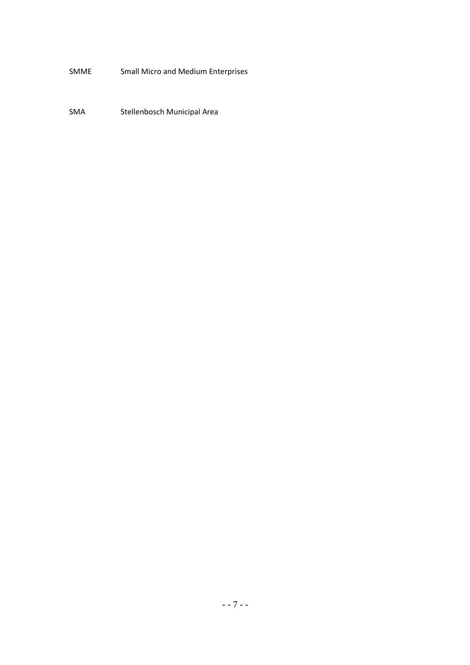SMME Small Micro and Medium Enterprises

SMA Stellenbosch Municipal Area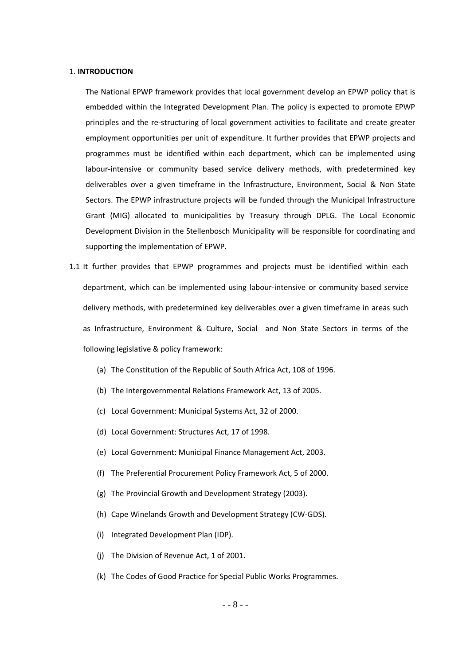#### 1. **INTRODUCTION**

The National EPWP framework provides that local government develop an EPWP policy that is embedded within the Integrated Development Plan. The policy is expected to promote EPWP principles and the re-structuring of local government activities to facilitate and create greater employment opportunities per unit of expenditure. It further provides that EPWP projects and programmes must be identified within each department, which can be implemented using labour-intensive or community based service delivery methods, with predetermined key deliverables over a given timeframe in the Infrastructure, Environment, Social & Non State Sectors. The EPWP infrastructure projects will be funded through the Municipal Infrastructure Grant (MIG) allocated to municipalities by Treasury through DPLG. The Local Economic Development Division in the Stellenbosch Municipality will be responsible for coordinating and supporting the implementation of EPWP.

- 1.1 It further provides that EPWP programmes and projects must be identified within each department, which can be implemented using labour-intensive or community based service delivery methods, with predetermined key deliverables over a given timeframe in areas such as Infrastructure, Environment & Culture, Social and Non State Sectors in terms of the following legislative & policy framework:
	- (a) The Constitution of the Republic of South Africa Act, 108 of 1996.
	- (b) The Intergovernmental Relations Framework Act, 13 of 2005.
	- (c) Local Government: Municipal Systems Act, 32 of 2000.
	- (d) Local Government: Structures Act, 17 of 1998.
	- (e) Local Government: Municipal Finance Management Act, 2003.
	- (f) The Preferential Procurement Policy Framework Act, 5 of 2000.
	- (g) The Provincial Growth and Development Strategy (2003).
	- (h) Cape Winelands Growth and Development Strategy (CW-GDS).
	- (i) Integrated Development Plan (IDP).
	- (j) The Division of Revenue Act, 1 of 2001.
	- (k) The Codes of Good Practice for Special Public Works Programmes.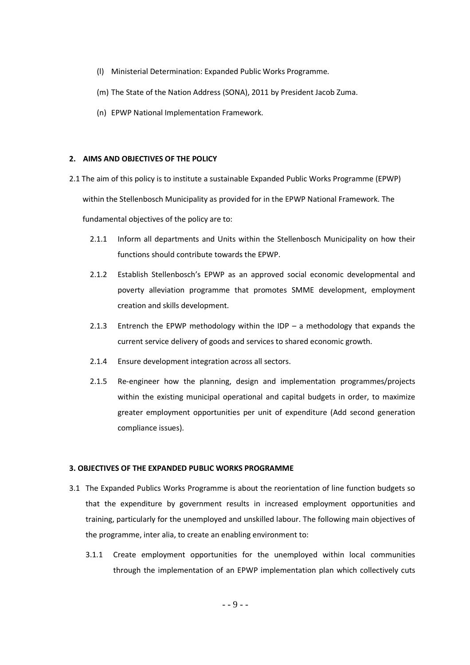- (l) Ministerial Determination: Expanded Public Works Programme.
- (m) The State of the Nation Address (SONA), 2011 by President Jacob Zuma.
- (n) EPWP National Implementation Framework.

## **2. AIMS AND OBJECTIVES OF THE POLICY**

- 2.1 The aim of this policy is to institute a sustainable Expanded Public Works Programme (EPWP) within the Stellenbosch Municipality as provided for in the EPWP National Framework. The fundamental objectives of the policy are to:
	- 2.1.1 Inform all departments and Units within the Stellenbosch Municipality on how their functions should contribute towards the EPWP.
	- 2.1.2 Establish Stellenbosch's EPWP as an approved social economic developmental and poverty alleviation programme that promotes SMME development, employment creation and skills development.
	- 2.1.3 Entrench the EPWP methodology within the IDP a methodology that expands the current service delivery of goods and services to shared economic growth.
	- 2.1.4 Ensure development integration across all sectors.
	- 2.1.5 Re-engineer how the planning, design and implementation programmes/projects within the existing municipal operational and capital budgets in order, to maximize greater employment opportunities per unit of expenditure (Add second generation compliance issues).

## **3. OBJECTIVES OF THE EXPANDED PUBLIC WORKS PROGRAMME**

- 3.1 The Expanded Publics Works Programme is about the reorientation of line function budgets so that the expenditure by government results in increased employment opportunities and training, particularly for the unemployed and unskilled labour. The following main objectives of the programme, inter alia, to create an enabling environment to:
	- 3.1.1 Create employment opportunities for the unemployed within local communities through the implementation of an EPWP implementation plan which collectively cuts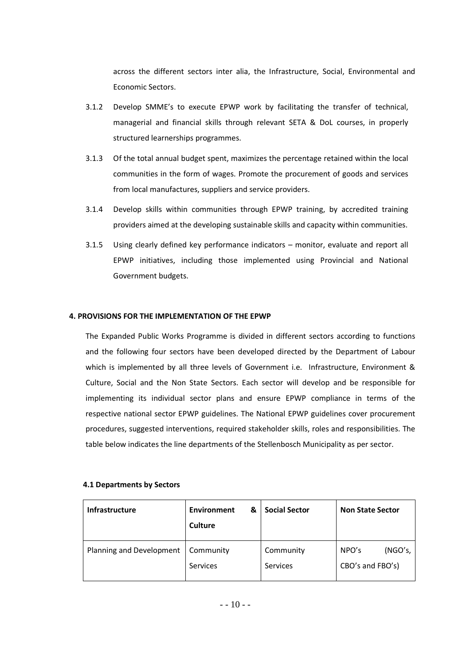across the different sectors inter alia, the Infrastructure, Social, Environmental and Economic Sectors.

- 3.1.2 Develop SMME's to execute EPWP work by facilitating the transfer of technical, managerial and financial skills through relevant SETA & DoL courses, in properly structured learnerships programmes.
- 3.1.3 Of the total annual budget spent, maximizes the percentage retained within the local communities in the form of wages. Promote the procurement of goods and services from local manufactures, suppliers and service providers.
- 3.1.4 Develop skills within communities through EPWP training, by accredited training providers aimed at the developing sustainable skills and capacity within communities.
- 3.1.5 Using clearly defined key performance indicators monitor, evaluate and report all EPWP initiatives, including those implemented using Provincial and National Government budgets.

## **4. PROVISIONS FOR THE IMPLEMENTATION OF THE EPWP**

The Expanded Public Works Programme is divided in different sectors according to functions and the following four sectors have been developed directed by the Department of Labour which is implemented by all three levels of Government i.e. Infrastructure, Environment & Culture, Social and the Non State Sectors. Each sector will develop and be responsible for implementing its individual sector plans and ensure EPWP compliance in terms of the respective national sector EPWP guidelines. The National EPWP guidelines cover procurement procedures, suggested interventions, required stakeholder skills, roles and responsibilities. The table below indicates the line departments of the Stellenbosch Municipality as per sector.

#### **4.1 Departments by Sectors**

| <b>Infrastructure</b>    | Environment<br>&<br>Culture | <b>Social Sector</b>  | <b>Non State Sector</b>              |
|--------------------------|-----------------------------|-----------------------|--------------------------------------|
| Planning and Development | Community<br>Services       | Community<br>Services | NPO's<br>(NGO's,<br>CBO's and FBO's) |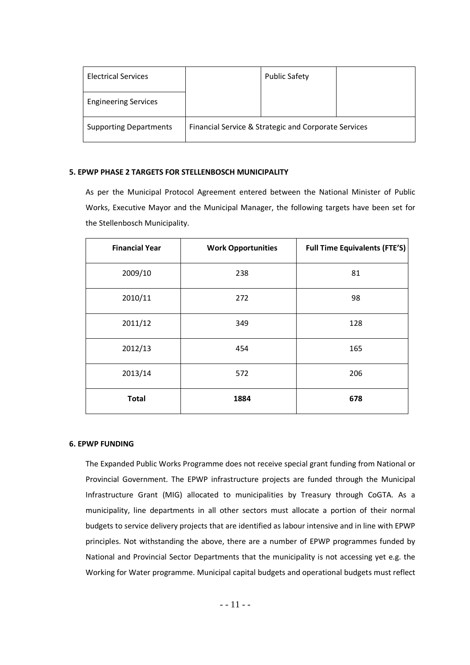| <b>Electrical Services</b>    |                                                      | <b>Public Safety</b> |  |
|-------------------------------|------------------------------------------------------|----------------------|--|
| <b>Engineering Services</b>   |                                                      |                      |  |
| <b>Supporting Departments</b> | Financial Service & Strategic and Corporate Services |                      |  |

## **5. EPWP PHASE 2 TARGETS FOR STELLENBOSCH MUNICIPALITY**

As per the Municipal Protocol Agreement entered between the National Minister of Public Works, Executive Mayor and the Municipal Manager, the following targets have been set for the Stellenbosch Municipality.

| <b>Financial Year</b> | <b>Work Opportunities</b> | <b>Full Time Equivalents (FTE'S)</b> |
|-----------------------|---------------------------|--------------------------------------|
| 2009/10               | 238                       | 81                                   |
| 2010/11               | 272                       | 98                                   |
| 2011/12               | 349                       | 128                                  |
| 2012/13               | 454                       | 165                                  |
| 2013/14               | 572                       | 206                                  |
| <b>Total</b>          | 1884                      | 678                                  |

## **6. EPWP FUNDING**

The Expanded Public Works Programme does not receive special grant funding from National or Provincial Government. The EPWP infrastructure projects are funded through the Municipal Infrastructure Grant (MIG) allocated to municipalities by Treasury through CoGTA. As a municipality, line departments in all other sectors must allocate a portion of their normal budgets to service delivery projects that are identified as labour intensive and in line with EPWP principles. Not withstanding the above, there are a number of EPWP programmes funded by National and Provincial Sector Departments that the municipality is not accessing yet e.g. the Working for Water programme. Municipal capital budgets and operational budgets must reflect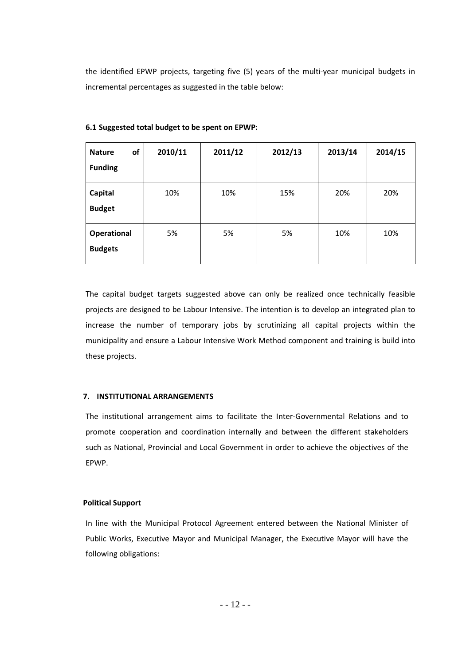the identified EPWP projects, targeting five (5) years of the multi-year municipal budgets in incremental percentages as suggested in the table below:

| of<br><b>Nature</b><br><b>Funding</b> | 2010/11 | 2011/12 | 2012/13 | 2013/14 | 2014/15 |
|---------------------------------------|---------|---------|---------|---------|---------|
| Capital<br><b>Budget</b>              | 10%     | 10%     | 15%     | 20%     | 20%     |
| Operational<br><b>Budgets</b>         | 5%      | 5%      | 5%      | 10%     | 10%     |

## **6.1 Suggested total budget to be spent on EPWP:**

The capital budget targets suggested above can only be realized once technically feasible projects are designed to be Labour Intensive. The intention is to develop an integrated plan to increase the number of temporary jobs by scrutinizing all capital projects within the municipality and ensure a Labour Intensive Work Method component and training is build into these projects.

## **7. INSTITUTIONAL ARRANGEMENTS**

The institutional arrangement aims to facilitate the Inter-Governmental Relations and to promote cooperation and coordination internally and between the different stakeholders such as National, Provincial and Local Government in order to achieve the objectives of the EPWP.

#### **Political Support**

In line with the Municipal Protocol Agreement entered between the National Minister of Public Works, Executive Mayor and Municipal Manager, the Executive Mayor will have the following obligations: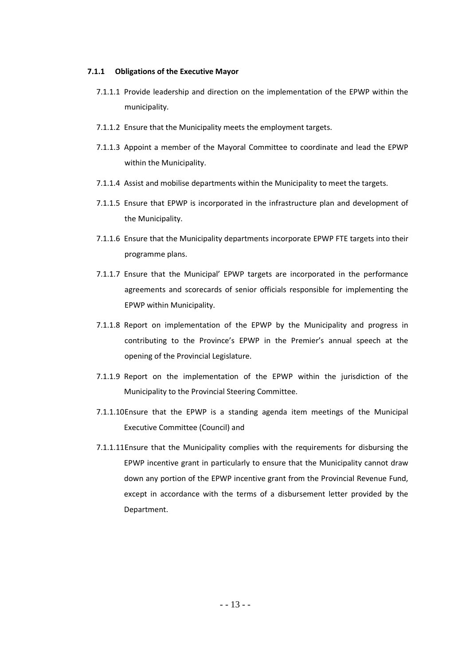## **7.1.1 Obligations of the Executive Mayor**

- 7.1.1.1 Provide leadership and direction on the implementation of the EPWP within the municipality.
- 7.1.1.2 Ensure that the Municipality meets the employment targets.
- 7.1.1.3 Appoint a member of the Mayoral Committee to coordinate and lead the EPWP within the Municipality.
- 7.1.1.4 Assist and mobilise departments within the Municipality to meet the targets.
- 7.1.1.5 Ensure that EPWP is incorporated in the infrastructure plan and development of the Municipality.
- 7.1.1.6 Ensure that the Municipality departments incorporate EPWP FTE targets into their programme plans.
- 7.1.1.7 Ensure that the Municipal' EPWP targets are incorporated in the performance agreements and scorecards of senior officials responsible for implementing the EPWP within Municipality.
- 7.1.1.8 Report on implementation of the EPWP by the Municipality and progress in contributing to the Province's EPWP in the Premier's annual speech at the opening of the Provincial Legislature.
- 7.1.1.9 Report on the implementation of the EPWP within the jurisdiction of the Municipality to the Provincial Steering Committee.
- 7.1.1.10Ensure that the EPWP is a standing agenda item meetings of the Municipal Executive Committee (Council) and
- 7.1.1.11Ensure that the Municipality complies with the requirements for disbursing the EPWP incentive grant in particularly to ensure that the Municipality cannot draw down any portion of the EPWP incentive grant from the Provincial Revenue Fund, except in accordance with the terms of a disbursement letter provided by the Department.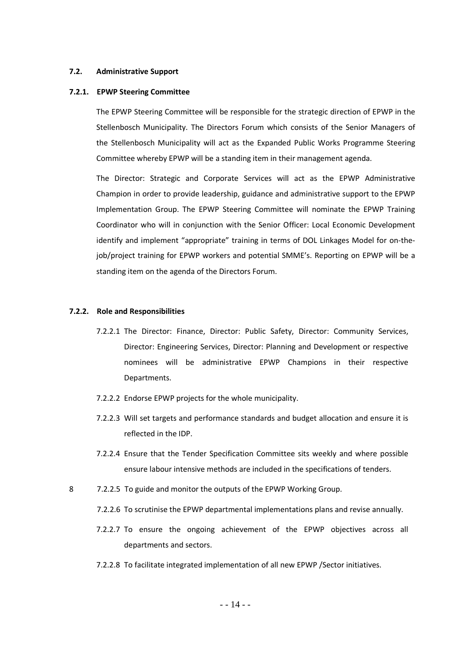#### **7.2. Administrative Support**

#### **7.2.1. EPWP Steering Committee**

The EPWP Steering Committee will be responsible for the strategic direction of EPWP in the Stellenbosch Municipality. The Directors Forum which consists of the Senior Managers of the Stellenbosch Municipality will act as the Expanded Public Works Programme Steering Committee whereby EPWP will be a standing item in their management agenda.

The Director: Strategic and Corporate Services will act as the EPWP Administrative Champion in order to provide leadership, guidance and administrative support to the EPWP Implementation Group. The EPWP Steering Committee will nominate the EPWP Training Coordinator who will in conjunction with the Senior Officer: Local Economic Development identify and implement "appropriate" training in terms of DOL Linkages Model for on-thejob/project training for EPWP workers and potential SMME's. Reporting on EPWP will be a standing item on the agenda of the Directors Forum.

#### **7.2.2. Role and Responsibilities**

- 7.2.2.1 The Director: Finance, Director: Public Safety, Director: Community Services, Director: Engineering Services, Director: Planning and Development or respective nominees will be administrative EPWP Champions in their respective Departments.
- 7.2.2.2 Endorse EPWP projects for the whole municipality.
- 7.2.2.3 Will set targets and performance standards and budget allocation and ensure it is reflected in the IDP.
- 7.2.2.4 Ensure that the Tender Specification Committee sits weekly and where possible ensure labour intensive methods are included in the specifications of tenders.
- 8 7.2.2.5 To guide and monitor the outputs of the EPWP Working Group.
	- 7.2.2.6 To scrutinise the EPWP departmental implementations plans and revise annually.
	- 7.2.2.7 To ensure the ongoing achievement of the EPWP objectives across all departments and sectors.
	- 7.2.2.8 To facilitate integrated implementation of all new EPWP /Sector initiatives.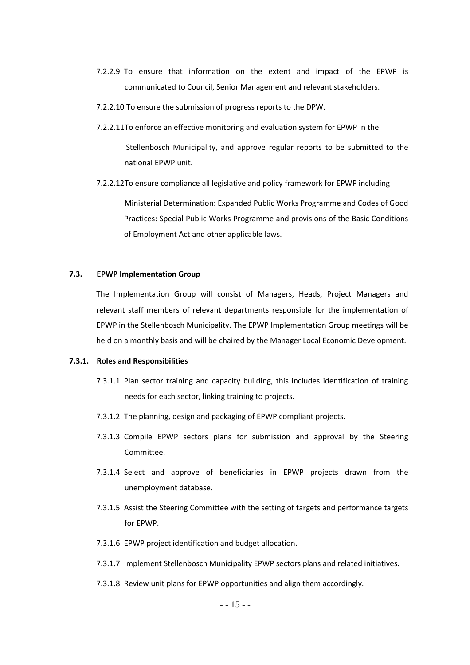- 7.2.2.9 To ensure that information on the extent and impact of the EPWP is communicated to Council, Senior Management and relevant stakeholders.
- 7.2.2.10 To ensure the submission of progress reports to the DPW.
- 7.2.2.11To enforce an effective monitoring and evaluation system for EPWP in the

 Stellenbosch Municipality, and approve regular reports to be submitted to the national EPWP unit.

7.2.2.12To ensure compliance all legislative and policy framework for EPWP including

Ministerial Determination: Expanded Public Works Programme and Codes of Good Practices: Special Public Works Programme and provisions of the Basic Conditions of Employment Act and other applicable laws.

#### **7.3. EPWP Implementation Group**

The Implementation Group will consist of Managers, Heads, Project Managers and relevant staff members of relevant departments responsible for the implementation of EPWP in the Stellenbosch Municipality. The EPWP Implementation Group meetings will be held on a monthly basis and will be chaired by the Manager Local Economic Development.

#### **7.3.1. Roles and Responsibilities**

- 7.3.1.1 Plan sector training and capacity building, this includes identification of training needs for each sector, linking training to projects.
- 7.3.1.2 The planning, design and packaging of EPWP compliant projects.
- 7.3.1.3 Compile EPWP sectors plans for submission and approval by the Steering Committee.
- 7.3.1.4 Select and approve of beneficiaries in EPWP projects drawn from the unemployment database.
- 7.3.1.5 Assist the Steering Committee with the setting of targets and performance targets for EPWP.
- 7.3.1.6 EPWP project identification and budget allocation.
- 7.3.1.7 Implement Stellenbosch Municipality EPWP sectors plans and related initiatives.
- 7.3.1.8 Review unit plans for EPWP opportunities and align them accordingly.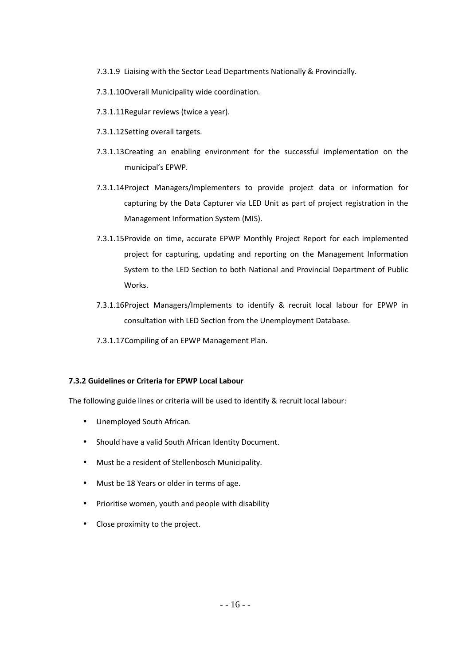- 7.3.1.9 Liaising with the Sector Lead Departments Nationally & Provincially.
- 7.3.1.10Overall Municipality wide coordination.
- 7.3.1.11Regular reviews (twice a year).
- 7.3.1.12Setting overall targets.
- 7.3.1.13Creating an enabling environment for the successful implementation on the municipal's EPWP.
- 7.3.1.14Project Managers/Implementers to provide project data or information for capturing by the Data Capturer via LED Unit as part of project registration in the Management Information System (MIS).
- 7.3.1.15Provide on time, accurate EPWP Monthly Project Report for each implemented project for capturing, updating and reporting on the Management Information System to the LED Section to both National and Provincial Department of Public Works.
- 7.3.1.16Project Managers/Implements to identify & recruit local labour for EPWP in consultation with LED Section from the Unemployment Database.
- 7.3.1.17Compiling of an EPWP Management Plan.

## **7.3.2 Guidelines or Criteria for EPWP Local Labour**

The following guide lines or criteria will be used to identify & recruit local labour:

- Unemployed South African.
- Should have a valid South African Identity Document.
- Must be a resident of Stellenbosch Municipality.
- Must be 18 Years or older in terms of age.
- Prioritise women, youth and people with disability
- Close proximity to the project.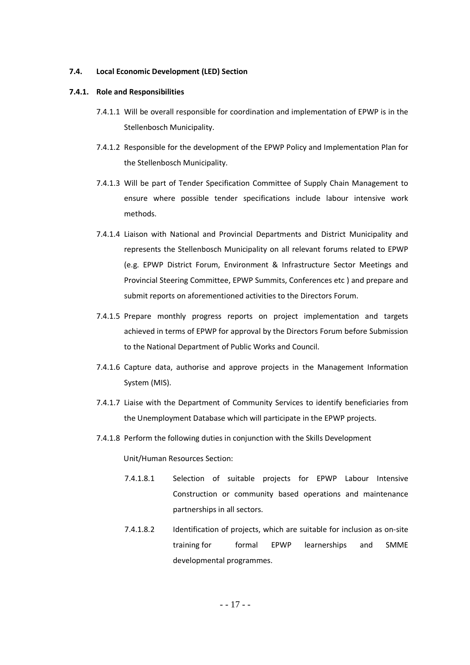#### **7.4. Local Economic Development (LED) Section**

#### **7.4.1. Role and Responsibilities**

- 7.4.1.1 Will be overall responsible for coordination and implementation of EPWP is in the Stellenbosch Municipality.
- 7.4.1.2 Responsible for the development of the EPWP Policy and Implementation Plan for the Stellenbosch Municipality.
- 7.4.1.3 Will be part of Tender Specification Committee of Supply Chain Management to ensure where possible tender specifications include labour intensive work methods.
- 7.4.1.4 Liaison with National and Provincial Departments and District Municipality and represents the Stellenbosch Municipality on all relevant forums related to EPWP (e.g. EPWP District Forum, Environment & Infrastructure Sector Meetings and Provincial Steering Committee, EPWP Summits, Conferences etc ) and prepare and submit reports on aforementioned activities to the Directors Forum.
- 7.4.1.5 Prepare monthly progress reports on project implementation and targets achieved in terms of EPWP for approval by the Directors Forum before Submission to the National Department of Public Works and Council.
- 7.4.1.6 Capture data, authorise and approve projects in the Management Information System (MIS).
- 7.4.1.7 Liaise with the Department of Community Services to identify beneficiaries from the Unemployment Database which will participate in the EPWP projects.
- 7.4.1.8 Perform the following duties in conjunction with the Skills Development

Unit/Human Resources Section:

- 7.4.1.8.1 Selection of suitable projects for EPWP Labour Intensive Construction or community based operations and maintenance partnerships in all sectors.
- 7.4.1.8.2 Identification of projects, which are suitable for inclusion as on-site training for formal EPWP learnerships and SMME developmental programmes.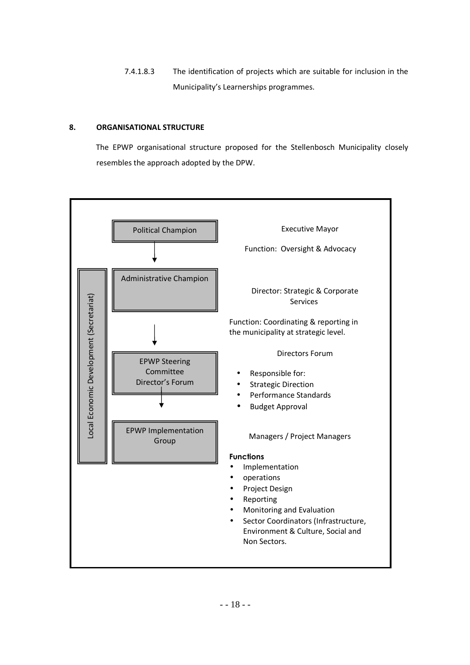7.4.1.8.3 The identification of projects which are suitable for inclusion in the Municipality's Learnerships programmes.

# **8. ORGANISATIONAL STRUCTURE**

The EPWP organisational structure proposed for the Stellenbosch Municipality closely resembles the approach adopted by the DPW.

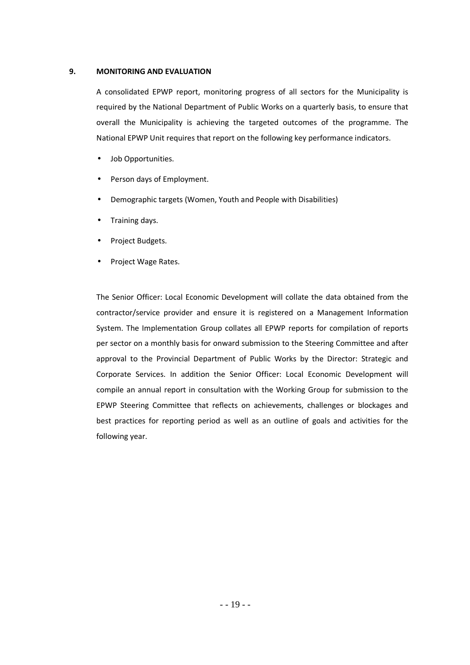## **9. MONITORING AND EVALUATION**

A consolidated EPWP report, monitoring progress of all sectors for the Municipality is required by the National Department of Public Works on a quarterly basis, to ensure that overall the Municipality is achieving the targeted outcomes of the programme. The National EPWP Unit requires that report on the following key performance indicators.

- Job Opportunities.
- Person days of Employment.
- Demographic targets (Women, Youth and People with Disabilities)
- Training days.
- Project Budgets.
- Project Wage Rates.

The Senior Officer: Local Economic Development will collate the data obtained from the contractor/service provider and ensure it is registered on a Management Information System. The Implementation Group collates all EPWP reports for compilation of reports per sector on a monthly basis for onward submission to the Steering Committee and after approval to the Provincial Department of Public Works by the Director: Strategic and Corporate Services. In addition the Senior Officer: Local Economic Development will compile an annual report in consultation with the Working Group for submission to the EPWP Steering Committee that reflects on achievements, challenges or blockages and best practices for reporting period as well as an outline of goals and activities for the following year.